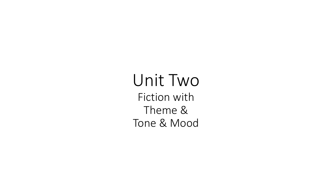Unit Two Fiction with Theme & Tone & Mood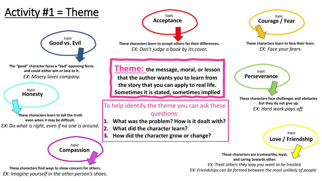# Activity  $#1 =$ Theme



**The "good" character faces a "bad" opposing force. and could either win or lose to it.**

*topic*

**These characters learn to tell the truth even when it may be difficult.** *EX: Do what is right, even if no one is around.*

> **Compassion** *topic*

**These characters find ways to show concern for others.** *EX: Imagine yourself in the other person's shoes.*



**These characters learn to accept others for their differences.** *EX: Don't judge a book by its cover.*

**Theme: the message, moral, or lesson that the author wants you to learn from Perseverance the story that you can apply to real life. Honesty Sometimes it is stated, sometimes implied**

#### To help identify the theme you can ask these questions:

- **1. What was the problem? How is it dealt with?**
- **2. What did the character learn?**
- **3. How did the character grow or change?**



**These characters learn to face their fears.** *EX: Face your fears.*

**These characters face challenges and obstacles but they do not give up.** *EX: Hard work pays off. topic*

> **Love / Friendship** *topic*

**These characters are trustworthy, loyal, and caring towards other.**

*EX: Treat others they way you want to be treated. EX: Friendships can be formed between the most unlikely of people*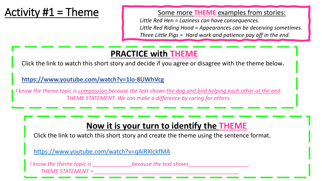## Activity  $#1 =$  Theme

Some more **THEME** examples from stories:

*Little Red Hen = Laziness can have consequences. Little Red Riding Hood = Appearances can be deceiving sometimes. Three Little Pigs = Hard work and patience pay off in the end.*

### **PRACTICE with THEME**

Click the link to watch this short story and decide if you agree or disagree with the theme below**.**

#### **<https://www.youtube.com/watch?v=1lo-8UWhVcg>**

*I know the theme topic is compassion because the text shows the dog and bird helping each other at the end. THEME STATEMENT: We can make a difference by caring for others.*

### **Now it is your turn to identify the THEME**

Click the link to watch this short story and create the theme using the sentence format.

<https://www.youtube.com/watch?v=qAIRXIckfMA>

*I know the theme topic is* because the text shows *THEME STATEMENT = \_\_\_\_\_\_\_\_\_\_\_\_\_\_\_\_\_\_\_\_\_\_\_\_\_\_\_\_\_\_\_\_\_\_\_\_\_\_\_\_\_\_\_\_\_\_\_\_*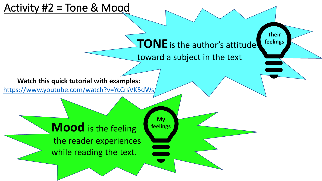### Activity #2 = Tone & Mood

# **TONE**is the author's attitude

**Their**

**feelings**

toward a subject in the text

#### **Watch this quick tutorial with examples:**

<https://www.youtube.com/watch?v=YcCrsVK5dWs>

**My feelings**

**Mood** is the feeling the reader experiences while reading the text.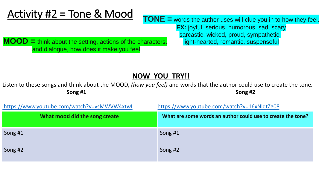# Activity #2 = Tone & Mood<br>
TONE = words the author uses will clue you in to how they feel.

**EX:** joyful, serious, humorous, sad, scary sarcastic, wicked, proud, sympathetic,

**MOOD** = think about the setting, actions of the characters, light-hearted, romantic, suspenseful and dialogue, how does it make you feel

#### **NOW YOU TRY!!**

Listen to these songs and think about the MOOD, *(how you feel)* and words that the author could use to create the tone*.* **Song #1 Song #2**

| https://www.youtube.com/watch?v=vsMWVW4xtwl | https://www.youtube.com/watch?v=16xNlqtZg08                 |
|---------------------------------------------|-------------------------------------------------------------|
| What mood did the song create               | What are some words an author could use to create the tone? |
| Song #1                                     | Song #1                                                     |
| Song #2                                     | Song #2                                                     |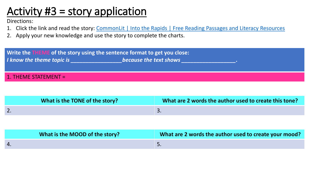# Activity #3 = story application

Directions:

- 1. Click the link and read the story: CommonLit [| Into the Rapids | Free Reading Passages and Literacy Resources](https://www.commonlit.org/en/texts/into-the-rapids)
- 2. Apply your new knowledge and use the story to complete the charts.



| What is the TONE of the story? | What are 2 words the author used to create this tone? |
|--------------------------------|-------------------------------------------------------|
|                                | ، ب                                                   |

| What is the MOOD of the story? | What are 2 words the author used to create your mood? |
|--------------------------------|-------------------------------------------------------|
|                                | <u>.</u>                                              |